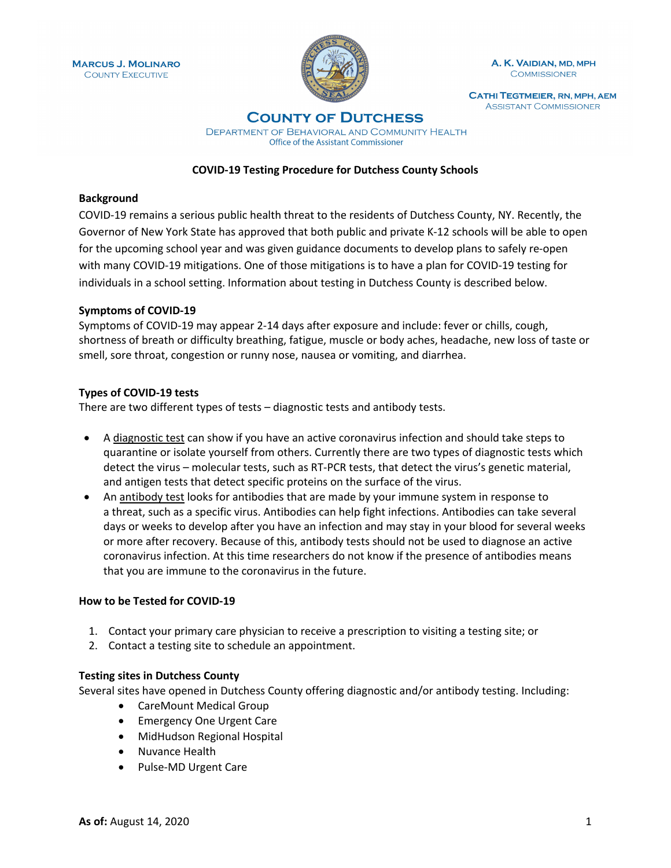

A. K. VAIDIAN, MD, MPH **COMMISSIONER** 

**CATHI TEGTMEIER, RN, MPH, AEM ASSISTANT COMMISSIONER** 

# **COUNTY OF DUTCHESS**

DEPARTMENT OF BEHAVIORAL AND COMMUNITY HEALTH Office of the Assistant Commissioner

### **COVID-19 Testing Procedure for Dutchess County Schools**

## **Background**

COVID-19 remains a serious public health threat to the residents of Dutchess County, NY. Recently, the Governor of New York State has approved that both public and private K-12 schools will be able to open for the upcoming school year and was given guidance documents to develop plans to safely re-open with many COVID-19 mitigations. One of those mitigations is to have a plan for COVID-19 testing for individuals in a school setting. Information about testing in Dutchess County is described below.

#### **Symptoms of COVID-19**

Symptoms of COVID-19 may appear 2-14 days after exposure and include: fever or chills, cough, shortness of breath or difficulty breathing, fatigue, muscle or body aches, headache, new loss of taste or smell, sore throat, congestion or runny nose, nausea or vomiting, and diarrhea.

#### **Types of COVID-19 tests**

There are two different types of tests – diagnostic tests and antibody tests.

- A diagnostic test can show if you have an active coronavirus infection and should take steps to quarantine or isolate yourself from others. Currently there are two types of diagnostic tests which detect the virus – molecular tests, such as RT-PCR tests, that detect the virus's genetic material, and antigen tests that detect specific proteins on the surface of the virus.
- An antibody test looks for antibodies that are made by your immune system in response to a threat, such as a specific virus. Antibodies can help fight infections. Antibodies can take several days or weeks to develop after you have an infection and may stay in your blood for several weeks or more after recovery. Because of this, antibody tests should not be used to diagnose an active coronavirus infection. At this time researchers do not know if the presence of antibodies means that you are immune to the coronavirus in the future.

#### **How to be Tested for COVID-19**

- 1. Contact your primary care physician to receive a prescription to visiting a testing site; or
- 2. Contact a testing site to schedule an appointment.

## **Testing sites in Dutchess County**

Several sites have opened in Dutchess County offering diagnostic and/or antibody testing. Including:

- CareMount Medical Group
- Emergency One Urgent Care
- MidHudson Regional Hospital
- Nuvance Health
- Pulse-MD Urgent Care